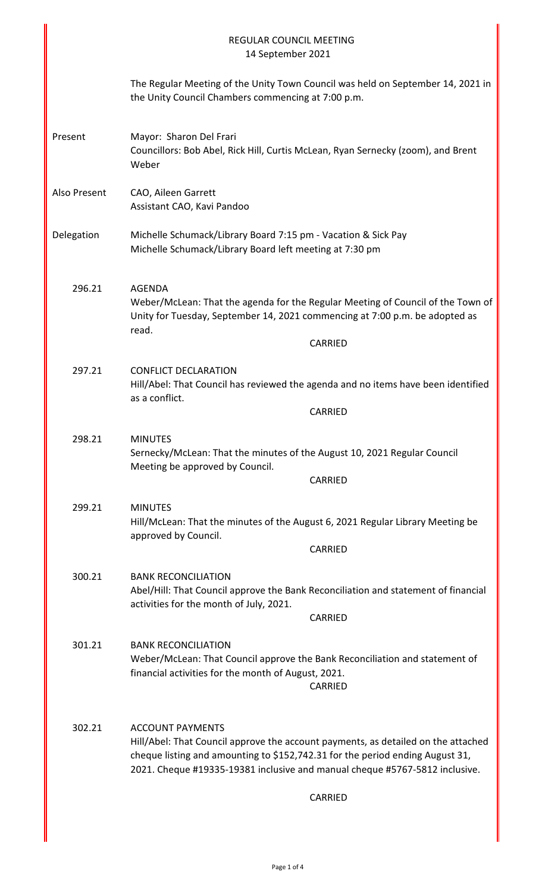|              | <b>REGULAR COUNCIL MEETING</b><br>14 September 2021                                                                                                                                                                                                                          |
|--------------|------------------------------------------------------------------------------------------------------------------------------------------------------------------------------------------------------------------------------------------------------------------------------|
|              | The Regular Meeting of the Unity Town Council was held on September 14, 2021 in<br>the Unity Council Chambers commencing at 7:00 p.m.                                                                                                                                        |
| Present      | Mayor: Sharon Del Frari<br>Councillors: Bob Abel, Rick Hill, Curtis McLean, Ryan Sernecky (zoom), and Brent<br>Weber                                                                                                                                                         |
| Also Present | CAO, Aileen Garrett<br>Assistant CAO, Kavi Pandoo                                                                                                                                                                                                                            |
| Delegation   | Michelle Schumack/Library Board 7:15 pm - Vacation & Sick Pay<br>Michelle Schumack/Library Board left meeting at 7:30 pm                                                                                                                                                     |
| 296.21       | <b>AGENDA</b><br>Weber/McLean: That the agenda for the Regular Meeting of Council of the Town of<br>Unity for Tuesday, September 14, 2021 commencing at 7:00 p.m. be adopted as<br>read.<br><b>CARRIED</b>                                                                   |
| 297.21       | <b>CONFLICT DECLARATION</b><br>Hill/Abel: That Council has reviewed the agenda and no items have been identified<br>as a conflict.<br><b>CARRIED</b>                                                                                                                         |
| 298.21       | <b>MINUTES</b><br>Sernecky/McLean: That the minutes of the August 10, 2021 Regular Council<br>Meeting be approved by Council.<br>CARRIED                                                                                                                                     |
| 299.21       | <b>MINUTES</b><br>Hill/McLean: That the minutes of the August 6, 2021 Regular Library Meeting be<br>approved by Council.<br><b>CARRIED</b>                                                                                                                                   |
| 300.21       | <b>BANK RECONCILIATION</b><br>Abel/Hill: That Council approve the Bank Reconciliation and statement of financial<br>activities for the month of July, 2021.<br><b>CARRIED</b>                                                                                                |
| 301.21       | <b>BANK RECONCILIATION</b><br>Weber/McLean: That Council approve the Bank Reconciliation and statement of<br>financial activities for the month of August, 2021.<br>CARRIED                                                                                                  |
| 302.21       | <b>ACCOUNT PAYMENTS</b><br>Hill/Abel: That Council approve the account payments, as detailed on the attached<br>cheque listing and amounting to \$152,742.31 for the period ending August 31,<br>2021. Cheque #19335-19381 inclusive and manual cheque #5767-5812 inclusive. |
|              | CARRIED                                                                                                                                                                                                                                                                      |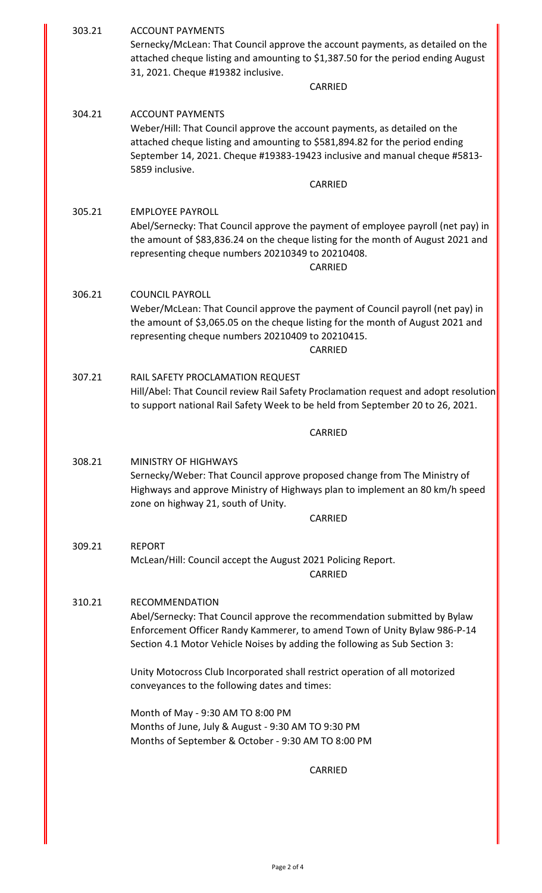| 303.21 | <b>ACCOUNT PAYMENTS</b><br>Sernecky/McLean: That Council approve the account payments, as detailed on the<br>attached cheque listing and amounting to \$1,387.50 for the period ending August<br>31, 2021. Cheque #19382 inclusive.                                                             |
|--------|-------------------------------------------------------------------------------------------------------------------------------------------------------------------------------------------------------------------------------------------------------------------------------------------------|
|        | CARRIED                                                                                                                                                                                                                                                                                         |
| 304.21 | <b>ACCOUNT PAYMENTS</b><br>Weber/Hill: That Council approve the account payments, as detailed on the<br>attached cheque listing and amounting to \$581,894.82 for the period ending<br>September 14, 2021. Cheque #19383-19423 inclusive and manual cheque #5813-<br>5859 inclusive.<br>CARRIED |
| 305.21 | <b>EMPLOYEE PAYROLL</b><br>Abel/Sernecky: That Council approve the payment of employee payroll (net pay) in<br>the amount of \$83,836.24 on the cheque listing for the month of August 2021 and<br>representing cheque numbers 20210349 to 20210408.<br><b>CARRIED</b>                          |
| 306.21 | <b>COUNCIL PAYROLL</b><br>Weber/McLean: That Council approve the payment of Council payroll (net pay) in<br>the amount of \$3,065.05 on the cheque listing for the month of August 2021 and<br>representing cheque numbers 20210409 to 20210415.<br>CARRIED                                     |
| 307.21 | RAIL SAFETY PROCLAMATION REQUEST<br>Hill/Abel: That Council review Rail Safety Proclamation request and adopt resolution<br>to support national Rail Safety Week to be held from September 20 to 26, 2021.                                                                                      |
|        | <b>CARRIED</b>                                                                                                                                                                                                                                                                                  |
| 308.21 | <b>MINISTRY OF HIGHWAYS</b><br>Sernecky/Weber: That Council approve proposed change from The Ministry of<br>Highways and approve Ministry of Highways plan to implement an 80 km/h speed<br>zone on highway 21, south of Unity.<br>CARRIED                                                      |
|        |                                                                                                                                                                                                                                                                                                 |
| 309.21 | <b>REPORT</b><br>McLean/Hill: Council accept the August 2021 Policing Report.<br>CARRIED                                                                                                                                                                                                        |
| 310.21 | <b>RECOMMENDATION</b><br>Abel/Sernecky: That Council approve the recommendation submitted by Bylaw<br>Enforcement Officer Randy Kammerer, to amend Town of Unity Bylaw 986-P-14<br>Section 4.1 Motor Vehicle Noises by adding the following as Sub Section 3:                                   |
|        | Unity Motocross Club Incorporated shall restrict operation of all motorized<br>conveyances to the following dates and times:                                                                                                                                                                    |
|        | Month of May - 9:30 AM TO 8:00 PM<br>Months of June, July & August - 9:30 AM TO 9:30 PM<br>Months of September & October - 9:30 AM TO 8:00 PM                                                                                                                                                   |
|        | <b>CARRIED</b>                                                                                                                                                                                                                                                                                  |
|        |                                                                                                                                                                                                                                                                                                 |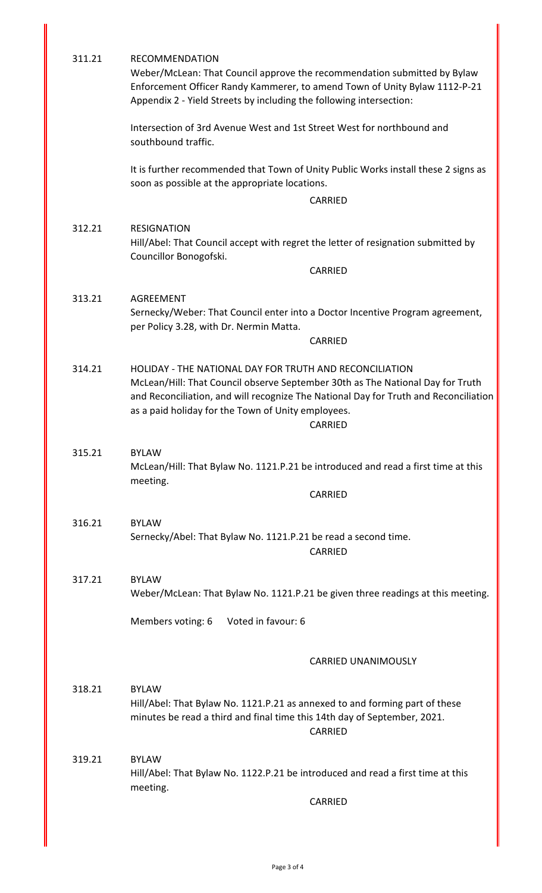| 311.21 | <b>RECOMMENDATION</b><br>Weber/McLean: That Council approve the recommendation submitted by Bylaw<br>Enforcement Officer Randy Kammerer, to amend Town of Unity Bylaw 1112-P-21<br>Appendix 2 - Yield Streets by including the following intersection:                                             |
|--------|----------------------------------------------------------------------------------------------------------------------------------------------------------------------------------------------------------------------------------------------------------------------------------------------------|
|        | Intersection of 3rd Avenue West and 1st Street West for northbound and<br>southbound traffic.                                                                                                                                                                                                      |
|        | It is further recommended that Town of Unity Public Works install these 2 signs as<br>soon as possible at the appropriate locations.                                                                                                                                                               |
|        | CARRIED                                                                                                                                                                                                                                                                                            |
| 312.21 | <b>RESIGNATION</b><br>Hill/Abel: That Council accept with regret the letter of resignation submitted by<br>Councillor Bonogofski.                                                                                                                                                                  |
|        | CARRIED                                                                                                                                                                                                                                                                                            |
| 313.21 | <b>AGREEMENT</b><br>Sernecky/Weber: That Council enter into a Doctor Incentive Program agreement,<br>per Policy 3.28, with Dr. Nermin Matta.<br><b>CARRIED</b>                                                                                                                                     |
| 314.21 | HOLIDAY - THE NATIONAL DAY FOR TRUTH AND RECONCILIATION<br>McLean/Hill: That Council observe September 30th as The National Day for Truth<br>and Reconciliation, and will recognize The National Day for Truth and Reconciliation<br>as a paid holiday for the Town of Unity employees.<br>CARRIED |
| 315.21 | <b>BYLAW</b><br>McLean/Hill: That Bylaw No. 1121.P.21 be introduced and read a first time at this<br>meeting.<br>CARRIED                                                                                                                                                                           |
| 316.21 | <b>BYLAW</b><br>Sernecky/Abel: That Bylaw No. 1121.P.21 be read a second time.<br><b>CARRIED</b>                                                                                                                                                                                                   |
| 317.21 | <b>BYLAW</b><br>Weber/McLean: That Bylaw No. 1121.P.21 be given three readings at this meeting.                                                                                                                                                                                                    |
|        | Members voting: 6<br>Voted in favour: 6                                                                                                                                                                                                                                                            |
|        | <b>CARRIED UNANIMOUSLY</b>                                                                                                                                                                                                                                                                         |
| 318.21 | <b>BYLAW</b><br>Hill/Abel: That Bylaw No. 1121.P.21 as annexed to and forming part of these<br>minutes be read a third and final time this 14th day of September, 2021.<br><b>CARRIED</b>                                                                                                          |
| 319.21 | <b>BYLAW</b><br>Hill/Abel: That Bylaw No. 1122.P.21 be introduced and read a first time at this<br>meeting.<br>CARRIED                                                                                                                                                                             |